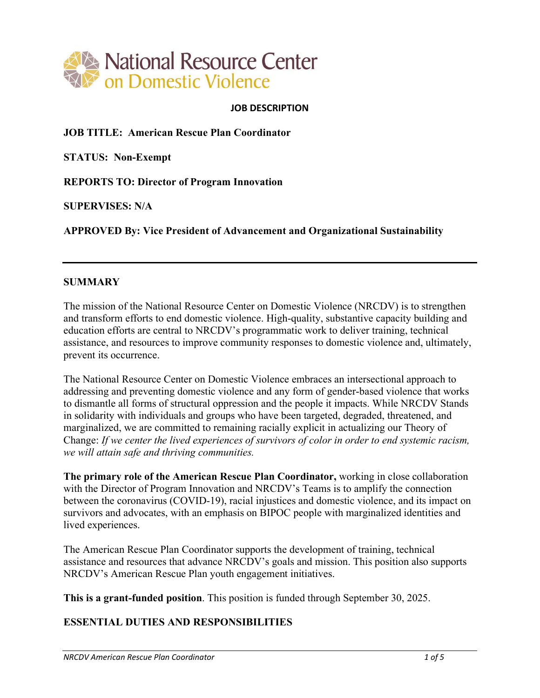

#### **JOB DESCRIPTION**

**JOB TITLE: American Rescue Plan Coordinator** 

**STATUS: Non-Exempt** 

**REPORTS TO: Director of Program Innovation** 

**SUPERVISES: N/A** 

**APPROVED By: Vice President of Advancement and Organizational Sustainability** 

#### **SUMMARY**

The mission of the National Resource Center on Domestic Violence (NRCDV) is to strengthen and transform efforts to end domestic violence. High-quality, substantive capacity building and education efforts are central to NRCDV's programmatic work to deliver training, technical assistance, and resources to improve community responses to domestic violence and, ultimately, prevent its occurrence.

The National Resource Center on Domestic Violence embraces an intersectional approach to addressing and preventing domestic violence and any form of gender-based violence that works to dismantle all forms of structural oppression and the people it impacts. While NRCDV Stands in solidarity with individuals and groups who have been targeted, degraded, threatened, and marginalized, we are committed to remaining racially explicit in actualizing our Theory of Change: *If we center the lived experiences of survivors of color in order to end systemic racism, we will attain safe and thriving communities.*

**The primary role of the American Rescue Plan Coordinator,** working in close collaboration with the Director of Program Innovation and NRCDV's Teams is to amplify the connection between the coronavirus (COVID-19), racial injustices and domestic violence, and its impact on survivors and advocates, with an emphasis on BIPOC people with marginalized identities and lived experiences.

The American Rescue Plan Coordinator supports the development of training, technical assistance and resources that advance NRCDV's goals and mission. This position also supports NRCDV's American Rescue Plan youth engagement initiatives.

**This is a grant-funded position**. This position is funded through September 30, 2025.

### **ESSENTIAL DUTIES AND RESPONSIBILITIES**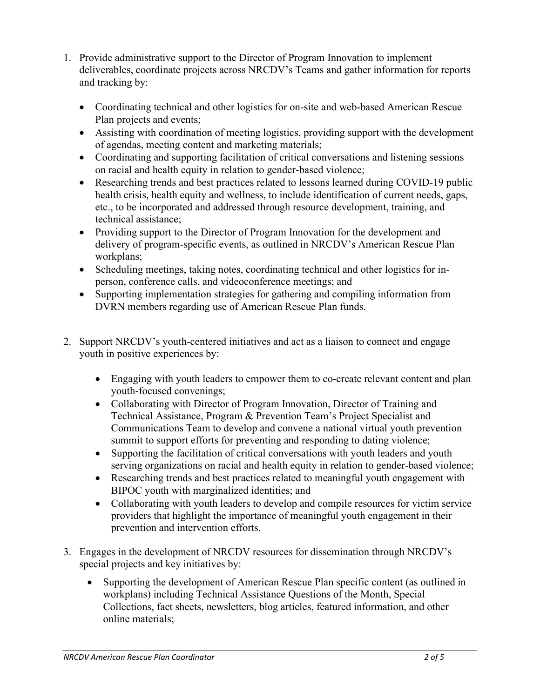- 1. Provide administrative support to the Director of Program Innovation to implement deliverables, coordinate projects across NRCDV's Teams and gather information for reports and tracking by:
	- Coordinating technical and other logistics for on-site and web-based American Rescue Plan projects and events;
	- Assisting with coordination of meeting logistics, providing support with the development of agendas, meeting content and marketing materials;
	- Coordinating and supporting facilitation of critical conversations and listening sessions on racial and health equity in relation to gender-based violence;
	- Researching trends and best practices related to lessons learned during COVID-19 public health crisis, health equity and wellness, to include identification of current needs, gaps, etc., to be incorporated and addressed through resource development, training, and technical assistance;
	- Providing support to the Director of Program Innovation for the development and delivery of program-specific events, as outlined in NRCDV's American Rescue Plan workplans;
	- Scheduling meetings, taking notes, coordinating technical and other logistics for inperson, conference calls, and videoconference meetings; and
	- Supporting implementation strategies for gathering and compiling information from DVRN members regarding use of American Rescue Plan funds.
- 2. Support NRCDV's youth-centered initiatives and act as a liaison to connect and engage youth in positive experiences by:
	- Engaging with youth leaders to empower them to co-create relevant content and plan youth-focused convenings;
	- Collaborating with Director of Program Innovation, Director of Training and Technical Assistance, Program & Prevention Team's Project Specialist and Communications Team to develop and convene a national virtual youth prevention summit to support efforts for preventing and responding to dating violence;
	- Supporting the facilitation of critical conversations with youth leaders and youth serving organizations on racial and health equity in relation to gender-based violence;
	- Researching trends and best practices related to meaningful youth engagement with BIPOC youth with marginalized identities; and
	- Collaborating with youth leaders to develop and compile resources for victim service providers that highlight the importance of meaningful youth engagement in their prevention and intervention efforts.
- 3. Engages in the development of NRCDV resources for dissemination through NRCDV's special projects and key initiatives by:
	- Supporting the development of American Rescue Plan specific content (as outlined in workplans) including Technical Assistance Questions of the Month, Special Collections, fact sheets, newsletters, blog articles, featured information, and other online materials;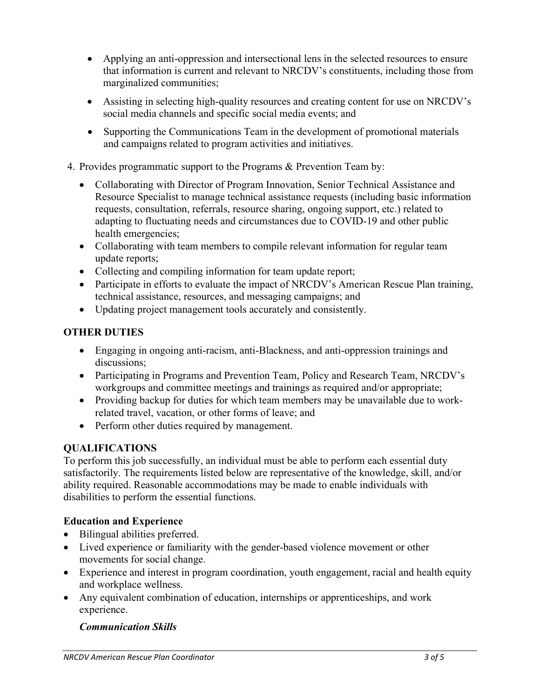- Applying an anti-oppression and intersectional lens in the selected resources to ensure that information is current and relevant to NRCDV's constituents, including those from marginalized communities;
- Assisting in selecting high-quality resources and creating content for use on NRCDV's social media channels and specific social media events; and
- Supporting the Communications Team in the development of promotional materials and campaigns related to program activities and initiatives.

### 4. Provides programmatic support to the Programs & Prevention Team by:

- Collaborating with Director of Program Innovation, Senior Technical Assistance and Resource Specialist to manage technical assistance requests (including basic information requests, consultation, referrals, resource sharing, ongoing support, etc.) related to adapting to fluctuating needs and circumstances due to COVID-19 and other public health emergencies;
- Collaborating with team members to compile relevant information for regular team update reports;
- Collecting and compiling information for team update report;
- Participate in efforts to evaluate the impact of NRCDV's American Rescue Plan training, technical assistance, resources, and messaging campaigns; and
- Updating project management tools accurately and consistently.

## **OTHER DUTIES**

- Engaging in ongoing anti-racism, anti-Blackness, and anti-oppression trainings and discussions;
- Participating in Programs and Prevention Team, Policy and Research Team, NRCDV's workgroups and committee meetings and trainings as required and/or appropriate;
- Providing backup for duties for which team members may be unavailable due to workrelated travel, vacation, or other forms of leave; and
- Perform other duties required by management.

## **QUALIFICATIONS**

To perform this job successfully, an individual must be able to perform each essential duty satisfactorily. The requirements listed below are representative of the knowledge, skill, and/or ability required. Reasonable accommodations may be made to enable individuals with disabilities to perform the essential functions.

### **Education and Experience**

- Bilingual abilities preferred.
- Lived experience or familiarity with the gender-based violence movement or other movements for social change.
- Experience and interest in program coordination, youth engagement, racial and health equity and workplace wellness.
- Any equivalent combination of education, internships or apprenticeships, and work experience.

### *Communication Skills*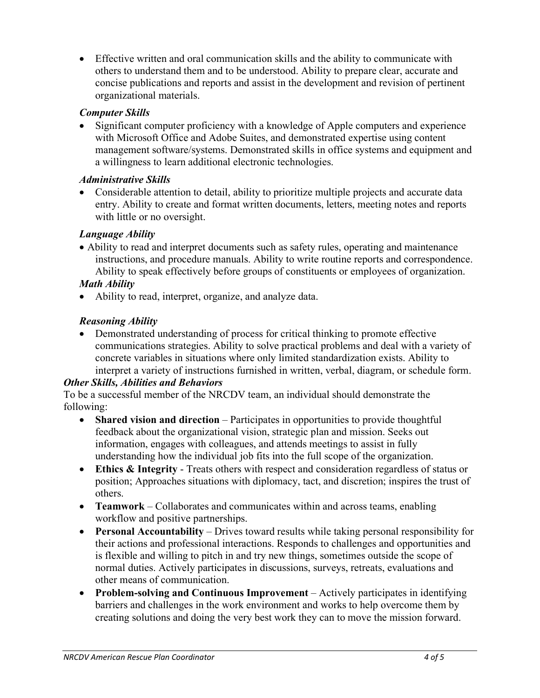• Effective written and oral communication skills and the ability to communicate with others to understand them and to be understood. Ability to prepare clear, accurate and concise publications and reports and assist in the development and revision of pertinent organizational materials.

## *Computer Skills*

• Significant computer proficiency with a knowledge of Apple computers and experience with Microsoft Office and Adobe Suites, and demonstrated expertise using content management software/systems. Demonstrated skills in office systems and equipment and a willingness to learn additional electronic technologies.

## *Administrative Skills*

• Considerable attention to detail, ability to prioritize multiple projects and accurate data entry. Ability to create and format written documents, letters, meeting notes and reports with little or no oversight.

# *Language Ability*

• Ability to read and interpret documents such as safety rules, operating and maintenance instructions, and procedure manuals. Ability to write routine reports and correspondence. Ability to speak effectively before groups of constituents or employees of organization.

# *Math Ability*

• Ability to read, interpret, organize, and analyze data.

# *Reasoning Ability*

• Demonstrated understanding of process for critical thinking to promote effective communications strategies. Ability to solve practical problems and deal with a variety of concrete variables in situations where only limited standardization exists. Ability to interpret a variety of instructions furnished in written, verbal, diagram, or schedule form.

# *Other Skills, Abilities and Behaviors*

To be a successful member of the NRCDV team, an individual should demonstrate the following:

- **Shared vision and direction** Participates in opportunities to provide thoughtful feedback about the organizational vision, strategic plan and mission. Seeks out information, engages with colleagues, and attends meetings to assist in fully understanding how the individual job fits into the full scope of the organization.
- **Ethics & Integrity**  Treats others with respect and consideration regardless of status or position; Approaches situations with diplomacy, tact, and discretion; inspires the trust of others.
- **Teamwork**  Collaborates and communicates within and across teams, enabling workflow and positive partnerships.
- **Personal Accountability** Drives toward results while taking personal responsibility for their actions and professional interactions. Responds to challenges and opportunities and is flexible and willing to pitch in and try new things, sometimes outside the scope of normal duties. Actively participates in discussions, surveys, retreats, evaluations and other means of communication.
- **Problem-solving and Continuous Improvement**  Actively participates in identifying barriers and challenges in the work environment and works to help overcome them by creating solutions and doing the very best work they can to move the mission forward.